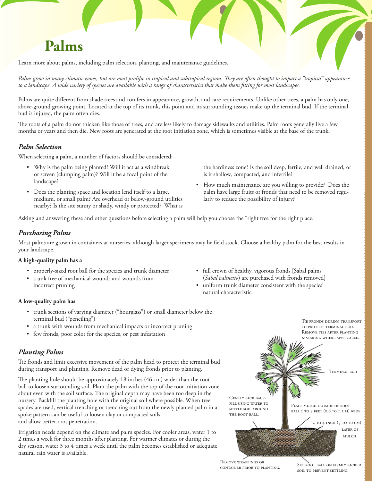# **Palms**

Learn more about palms, including palm selection, planting, and maintenance guidelines.

*Palms grow in many climatic zones, but are most prolific in tropical and subtropical regions. They are often thought to impart a "tropical" appearance to a landscape. A wide variety of species are available with a range of characteristics that make them fitting for most landscapes.*

Palms are quite different from shade trees and conifers in appearance, growth, and care requirements. Unlike other trees, a palm has only one, above-ground growing point. Located at the top of its trunk, this point and its surrounding tissues make up the terminal bud. If the terminal bud is injured, the palm often dies.

The roots of a palm do not thicken like those of trees, and are less likely to damage sidewalks and utilities. Palm roots generally live a few months or years and then die. New roots are generated at the root initiation zone, which is sometimes visible at the base of the trunk.

## *Palm Selection*

When selecting a palm, a number of factors should be considered:

- • Why is the palm being planted? Will it act as a windbreak or screen (clumping palm)? Will it be a focal point of the landscape?
- Does the planting space and location lend itself to a large, medium, or small palm? Are overhead or below-ground utilities nearby? Is the site sunny or shady, windy or protected? What is

the hardiness zone? Is the soil deep, fertile, and well drained, or is it shallow, compacted, and infertile?

• How much maintenance are you willing to provide? Does the palm have large fruits or fronds that need to be removed regularly to reduce the possibility of injury?

Asking and answering these and other questions before selecting a palm will help you choose the "right tree for the right place."

## *Purchasing Palms*

Most palms are grown in containers at nurseries, although larger specimens may be field stock. Choose a healthy palm for the best results in your landscape.

### **A high-quality palm has a**

- • properly-sized root ball for the species and trunk diameter
- • trunk free of mechanical wounds and wounds from incorrect pruning

#### **A low-quality palm has**

- • trunk sections of varying diameter ("hourglass") or small diameter below the terminal bud ("penciling")
- a trunk with wounds from mechanical impacts or incorrect pruning
- few fronds, poor color for the species, or pest infestation

## *Planting Palms*

Tie fronds and limit excessive movement of the palm head to protect the terminal bud during transport and planting. Remove dead or dying fronds prior to planting.

The planting hole should be approximately 18 inches (46 cm) wider than the root ball to loosen surrounding soil. Plant the palm with the top of the root initiation zone about even with the soil surface. The original depth may have been too deep in the nursery. Backfill the planting hole with the original soil where possible. When tree spades are used, vertical trenching or trenching out from the newly planted palm in a spoke pattern can be useful to loosen clay or compacted soils and allow better root penetration.

Irrigation needs depend on the climate and palm species. For cooler areas, water 1 to 2 times a week for three months after planting. For warmer climates or during the dry season, water 3 to 4 times a week until the palm becomes established or adequate natural rain water is available.

- • full crown of healthy, vigorous fronds [Sabal palms (*Sabal palmetto*) are purchased with fronds removed]
- • uniform trunk diameter consistent with the species' natural characteristic



Remove wrappings or container prior to planting.

SET ROOT BALL ON FIRMLY PACKED soil to prevent settling.